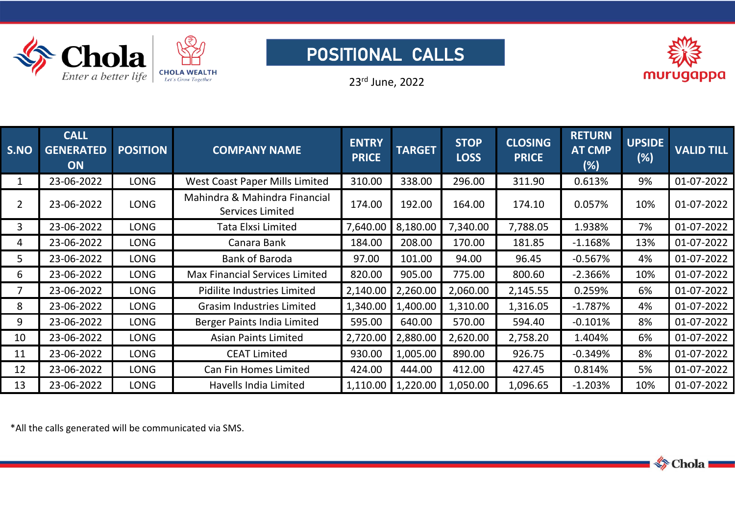

## POSITIONAL CALLS



23 rd June, 2022

| S.NO           | <b>CALL</b><br><b>GENERATED</b><br><b>ON</b> | <b>POSITION</b> | <b>COMPANY NAME</b>                               | <b>ENTRY</b><br><b>PRICE</b> | <b>TARGET</b> | <b>STOP</b><br><b>LOSS</b> | <b>CLOSING</b><br><b>PRICE</b> | <b>RETURN</b><br><b>AT CMP</b><br>(%) | <b>UPSIDE</b><br>(%) | <b>VALID TILL</b> |
|----------------|----------------------------------------------|-----------------|---------------------------------------------------|------------------------------|---------------|----------------------------|--------------------------------|---------------------------------------|----------------------|-------------------|
|                | 23-06-2022                                   | LONG            | <b>West Coast Paper Mills Limited</b>             | 310.00                       | 338.00        | 296.00                     | 311.90                         | 0.613%                                | 9%                   | 01-07-2022        |
| $\overline{2}$ | 23-06-2022                                   | LONG            | Mahindra & Mahindra Financial<br>Services Limited | 174.00                       | 192.00        | 164.00                     | 174.10                         | 0.057%                                | 10%                  | 01-07-2022        |
| 3              | 23-06-2022                                   | <b>LONG</b>     | Tata Elxsi Limited                                | 7,640.00                     | 8,180.00      | 7,340.00                   | 7,788.05                       | .938%                                 | 7%                   | 01-07-2022        |
| 4              | 23-06-2022                                   | <b>LONG</b>     | Canara Bank                                       | 184.00                       | 208.00        | 170.00                     | 181.85                         | $-1.168%$                             | 13%                  | 01-07-2022        |
| 5              | 23-06-2022                                   | <b>LONG</b>     | <b>Bank of Baroda</b>                             | 97.00                        | 101.00        | 94.00                      | 96.45                          | $-0.567%$                             | 4%                   | 01-07-2022        |
| 6              | 23-06-2022                                   | LONG            | <b>Max Financial Services Limited</b>             | 820.00                       | 905.00        | 775.00                     | 800.60                         | $-2.366%$                             | 10%                  | 01-07-2022        |
|                | 23-06-2022                                   | <b>LONG</b>     | Pidilite Industries Limited                       | 2,140.00                     | 2,260.00      | 2,060.00                   | 2,145.55                       | 0.259%                                | 6%                   | 01-07-2022        |
| 8              | 23-06-2022                                   | LONG            | <b>Grasim Industries Limited</b>                  | 1,340.00                     | 1,400.00      | 1,310.00                   | 1,316.05                       | $-1.787%$                             | 4%                   | 01-07-2022        |
| 9              | 23-06-2022                                   | LONG            | Berger Paints India Limited                       | 595.00                       | 640.00        | 570.00                     | 594.40                         | $-0.101%$                             | 8%                   | 01-07-2022        |
| 10             | 23-06-2022                                   | <b>LONG</b>     | <b>Asian Paints Limited</b>                       | 2,720.00                     | 2,880.00      | 2,620.00                   | 2,758.20                       | l <b>.404%</b>                        | 6%                   | 01-07-2022        |
| 11             | 23-06-2022                                   | LONG            | <b>CEAT Limited</b>                               | 930.00                       | 1,005.00      | 890.00                     | 926.75                         | $-0.349%$                             | 8%                   | 01-07-2022        |
| 12             | 23-06-2022                                   | LONG            | Can Fin Homes Limited                             | 424.00                       | 444.00        | 412.00                     | 427.45                         | 0.814%                                | 5%                   | 01-07-2022        |
| 13             | 23-06-2022                                   | LONG            | Havells India Limited                             | 1,110.00                     | 1,220.00      | 1,050.00                   | 1,096.65                       | $-1.203%$                             | 10%                  | 01-07-2022        |

\*All the callsgenerated will be communicated via SMS.

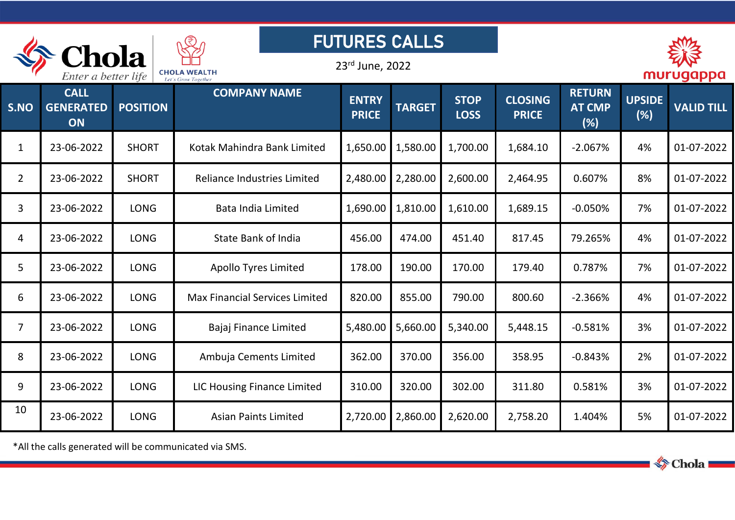| <b>FUTURES CALLS</b><br>hola |                                       |                 |                                            |                              |               |                            |                                |                                       |                      |                   |  |  |
|------------------------------|---------------------------------------|-----------------|--------------------------------------------|------------------------------|---------------|----------------------------|--------------------------------|---------------------------------------|----------------------|-------------------|--|--|
|                              | Enter a better life                   |                 | <b>CHOLA WEALTH</b><br>Let's Grow Together | 23rd June, 2022              |               |                            |                                |                                       | murugappa            |                   |  |  |
| S.NO                         | <b>CALL</b><br><b>GENERATED</b><br>ON | <b>POSITION</b> | <b>COMPANY NAME</b>                        | <b>ENTRY</b><br><b>PRICE</b> | <b>TARGET</b> | <b>STOP</b><br><b>LOSS</b> | <b>CLOSING</b><br><b>PRICE</b> | <b>RETURN</b><br><b>AT CMP</b><br>(%) | <b>UPSIDE</b><br>(%) | <b>VALID TILL</b> |  |  |
| $\mathbf{1}$                 | 23-06-2022                            | <b>SHORT</b>    | Kotak Mahindra Bank Limited                | 1,650.00                     | 1,580.00      | 1,700.00                   | 1,684.10                       | $-2.067%$                             | 4%                   | 01-07-2022        |  |  |
| $\overline{2}$               | 23-06-2022                            | <b>SHORT</b>    | Reliance Industries Limited                | 2,480.00                     | 2,280.00      | 2,600.00                   | 2,464.95                       | 0.607%                                | 8%                   | 01-07-2022        |  |  |
| 3                            | 23-06-2022                            | <b>LONG</b>     | <b>Bata India Limited</b>                  | 1,690.00                     | 1,810.00      | 1,610.00                   | 1,689.15                       | $-0.050%$                             | 7%                   | 01-07-2022        |  |  |
| $\overline{4}$               | 23-06-2022                            | <b>LONG</b>     | <b>State Bank of India</b>                 | 456.00                       | 474.00        | 451.40                     | 817.45                         | 79.265%                               | 4%                   | 01-07-2022        |  |  |
| 5                            | 23-06-2022                            | <b>LONG</b>     | <b>Apollo Tyres Limited</b>                | 178.00                       | 190.00        | 170.00                     | 179.40                         | 0.787%                                | 7%                   | 01-07-2022        |  |  |
| 6                            | 23-06-2022                            | <b>LONG</b>     | <b>Max Financial Services Limited</b>      | 820.00                       | 855.00        | 790.00                     | 800.60                         | $-2.366%$                             | 4%                   | 01-07-2022        |  |  |
| $\overline{7}$               | 23-06-2022                            | <b>LONG</b>     | Bajaj Finance Limited                      | 5,480.00                     | 5,660.00      | 5,340.00                   | 5,448.15                       | $-0.581%$                             | 3%                   | 01-07-2022        |  |  |
| 8                            | 23-06-2022                            | <b>LONG</b>     | Ambuja Cements Limited                     | 362.00                       | 370.00        | 356.00                     | 358.95                         | $-0.843%$                             | 2%                   | 01-07-2022        |  |  |
| 9                            | 23-06-2022                            | <b>LONG</b>     | <b>LIC Housing Finance Limited</b>         | 310.00                       | 320.00        | 302.00                     | 311.80                         | 0.581%                                | 3%                   | 01-07-2022        |  |  |
| 10                           | 23-06-2022                            | <b>LONG</b>     | <b>Asian Paints Limited</b>                | 2,720.00                     | 2,860.00      | 2,620.00                   | 2,758.20                       | 1.404%                                | 5%                   | 01-07-2022        |  |  |

\*All the callsgenerated will be communicated via SMS.